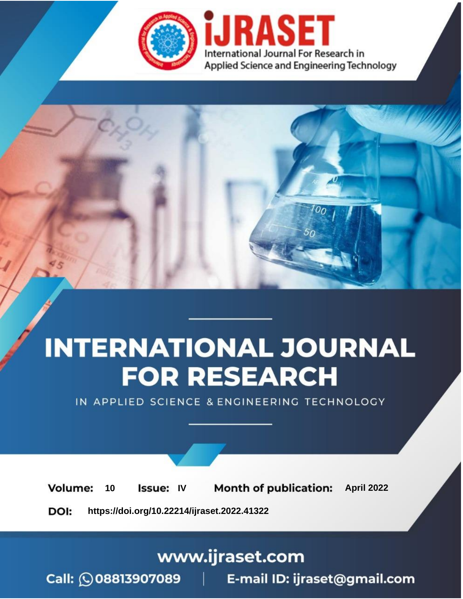

# **INTERNATIONAL JOURNAL FOR RESEARCH**

IN APPLIED SCIENCE & ENGINEERING TECHNOLOGY

10 **Issue: IV Month of publication:** April 2022 **Volume:** 

**https://doi.org/10.22214/ijraset.2022.41322**DOI:

www.ijraset.com

Call: 008813907089 | E-mail ID: ijraset@gmail.com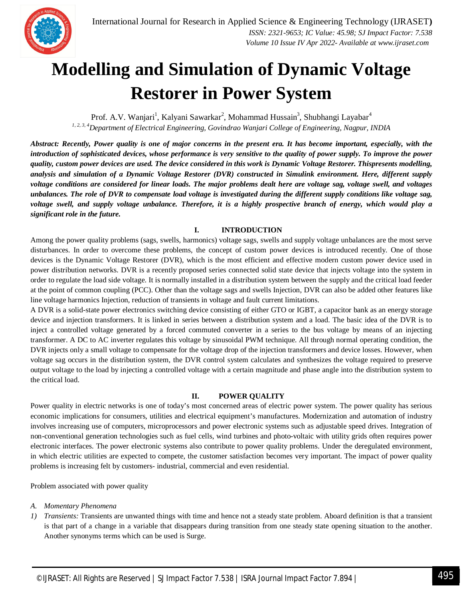

### **Modelling and Simulation of Dynamic Voltage Restorer in Power System**

Prof. A.V. Wanjari<sup>1</sup>, Kalyani Sawarkar<sup>2</sup>, Mohammad Hussain<sup>3</sup>, Shubhangi Layabar<sup>4</sup> *1, 2, 3, 4Department of Electrical Engineering, Govindrao Wanjari College of Engineering, Nagpur, INDIA*

*Abstract: Recently, Power quality is one of major concerns in the present era. It has become important, especially, with the introduction of sophisticated devices, whose performance is very sensitive to the quality of power supply. To improve the power quality, custom power devices are used. The device considered in this work is Dynamic Voltage Restorer. Thispresents modelling, analysis and simulation of a Dynamic Voltage Restorer (DVR) constructed in Simulink environment. Here, different supply voltage conditions are considered for linear loads. The major problems dealt here are voltage sag, voltage swell, and voltages unbalances. The role of DVR to compensate load voltage is investigated during the different supply conditions like voltage sag, voltage swell, and supply voltage unbalance. Therefore, it is a highly prospective branch of energy, which would play a significant role in the future.*

#### **I. INTRODUCTION**

Among the power quality problems (sags, swells, harmonics) voltage sags, swells and supply voltage unbalances are the most serve disturbances. In order to overcome these problems, the concept of custom power devices is introduced recently. One of those devices is the Dynamic Voltage Restorer (DVR), which is the most efficient and effective modern custom power device used in power distribution networks. DVR is a recently proposed series connected solid state device that injects voltage into the system in order to regulate the load side voltage. It is normally installed in a distribution system between the supply and the critical load feeder at the point of common coupling (PCC). Other than the voltage sags and swells Injection, DVR can also be added other features like line voltage harmonics Injection, reduction of transients in voltage and fault current limitations.

A DVR is a solid-state power electronics switching device consisting of either GTO or IGBT, a capacitor bank as an energy storage device and injection transformers. It is linked in series between a distribution system and a load. The basic idea of the DVR is to inject a controlled voltage generated by a forced commuted converter in a series to the bus voltage by means of an injecting transformer. A DC to AC inverter regulates this voltage by sinusoidal PWM technique. All through normal operating condition, the DVR injects only a small voltage to compensate for the voltage drop of the injection transformers and device losses. However, when voltage sag occurs in the distribution system, the DVR control system calculates and synthesizes the voltage required to preserve output voltage to the load by injecting a controlled voltage with a certain magnitude and phase angle into the distribution system to the critical load.

#### **II. POWER QUALITY**

Power quality in electric networks is one of today's most concerned areas of electric power system. The power quality has serious economic implications for consumers, utilities and electrical equipment's manufactures. Modernization and automation of industry involves increasing use of computers, microprocessors and power electronic systems such as adjustable speed drives. Integration of non-conventional generation technologies such as fuel cells, wind turbines and photo-voltaic with utility grids often requires power electronic interfaces. The power electronic systems also contribute to power quality problems. Under the deregulated environment, in which electric utilities are expected to compete, the customer satisfaction becomes very important. The impact of power quality problems is increasing felt by customers- industrial, commercial and even residential.

Problem associated with power quality

- *A. Momentary Phenomena*
- *1) Transients:* Transients are unwanted things with time and hence not a steady state problem. Aboard definition is that a transient is that part of a change in a variable that disappears during transition from one steady state opening situation to the another. Another synonyms terms which can be used is Surge.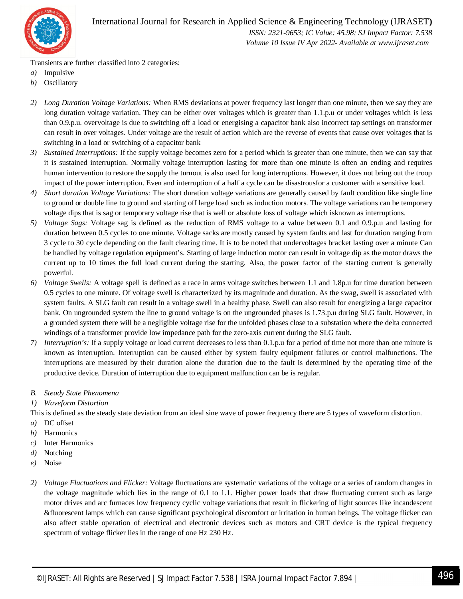

International Journal for Research in Applied Science & Engineering Technology (IJRASET**)**  *ISSN: 2321-9653; IC Value: 45.98; SJ Impact Factor: 7.538 Volume 10 Issue IV Apr 2022- Available at www.ijraset.com*

Transients are further classified into 2 categories:

- *a)* Impulsive
- *b)* Oscillatory
- *2) Long Duration Voltage Variations:* When RMS deviations at power frequency last longer than one minute, then we say they are long duration voltage variation. They can be either over voltages which is greater than 1.1.p.u or under voltages which is less than 0.9.p.u. overvoltage is due to switching off a load or energising a capacitor bank also incorrect tap settings on transformer can result in over voltages. Under voltage are the result of action which are the reverse of events that cause over voltages that is switching in a load or switching of a capacitor bank
- *3) Sustained Interruptions:* If the supply voltage becomes zero for a period which is greater than one minute, then we can say that it is sustained interruption. Normally voltage interruption lasting for more than one minute is often an ending and requires human intervention to restore the supply the turnout is also used for long interruptions. However, it does not bring out the troop impact of the power interruption. Even and interruption of a half a cycle can be disastrousfor a customer with a sensitive load.
- *4) Short duration Voltage Variations:* The short duration voltage variations are generally caused by fault condition like single line to ground or double line to ground and starting off large load such as induction motors. The voltage variations can be temporary voltage dips that is sag or temporary voltage rise that is well or absolute loss of voltage which isknown as interruptions.
- *5) Voltage Sags:* Voltage sag is defined as the reduction of RMS voltage to a value between 0.1 and 0.9.p.u and lasting for duration between 0.5 cycles to one minute. Voltage sacks are mostly caused by system faults and last for duration ranging from 3 cycle to 30 cycle depending on the fault clearing time. It is to be noted that undervoltages bracket lasting over a minute Can be handled by voltage regulation equipment's. Starting of large induction motor can result in voltage dip as the motor draws the current up to 10 times the full load current during the starting. Also, the power factor of the starting current is generally powerful.
- *6) Voltage Swells:* A voltage spell is defined as a race in arms voltage switches between 1.1 and 1.8p.u for time duration between 0.5 cycles to one minute. Of voltage swell is characterized by its magnitude and duration. As the swag, swell is associated with system faults. A SLG fault can result in a voltage swell in a healthy phase. Swell can also result for energizing a large capacitor bank. On ungrounded system the line to ground voltage is on the ungrounded phases is 1.73.p.u during SLG fault. However, in a grounded system there will be a negligible voltage rise for the unfolded phases close to a substation where the delta connected windings of a transformer provide low impedance path for the zero-axis current during the SLG fault.
- *7) Interruption's:* If a supply voltage or load current decreases to less than 0.1.p.u for a period of time not more than one minute is known as interruption. Interruption can be caused either by system faulty equipment failures or control malfunctions. The interruptions are measured by their duration alone the duration due to the fault is determined by the operating time of the productive device. Duration of interruption due to equipment malfunction can be is regular.
- *B. Steady State Phenomena*
- *1) Waveform Distortion*

This is defined as the steady state deviation from an ideal sine wave of power frequency there are 5 types of waveform distortion.

- *a)* DC offset
- *b)* Harmonics
- *c)* Inter Harmonics
- *d)* Notching
- *e)* Noise
- *2) Voltage Fluctuations and Flicker:* Voltage fluctuations are systematic variations of the voltage or a series of random changes in the voltage magnitude which lies in the range of 0.1 to 1.1. Higher power loads that draw fluctuating current such as large motor drives and arc furnaces low frequency cyclic voltage variations that result in flickering of light sources like incandescent &fluorescent lamps which can cause significant psychological discomfort or irritation in human beings. The voltage flicker can also affect stable operation of electrical and electronic devices such as motors and CRT device is the typical frequency spectrum of voltage flicker lies in the range of one Hz 230 Hz.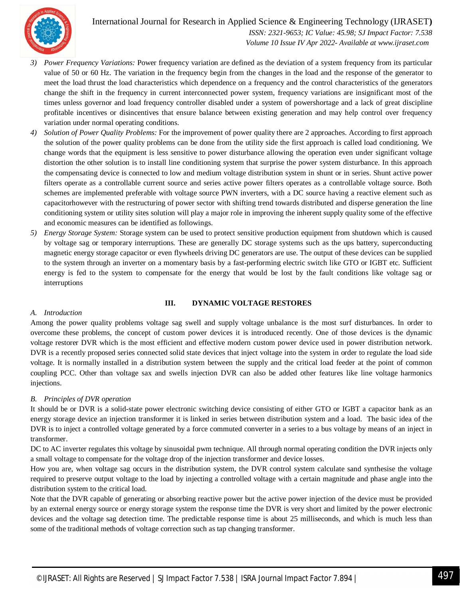

International Journal for Research in Applied Science & Engineering Technology (IJRASET**)**

 *ISSN: 2321-9653; IC Value: 45.98; SJ Impact Factor: 7.538 Volume 10 Issue IV Apr 2022- Available at www.ijraset.com*

- *3) Power Frequency Variations:* Power frequency variation are defined as the deviation of a system frequency from its particular value of 50 or 60 Hz. The variation in the frequency begin from the changes in the load and the response of the generator to meet the load thrust the load characteristics which dependence on a frequency and the control characteristics of the generators change the shift in the frequency in current interconnected power system, frequency variations are insignificant most of the times unless governor and load frequency controller disabled under a system of powershortage and a lack of great discipline profitable incentives or disincentives that ensure balance between existing generation and may help control over frequency variation under normal operating conditions.
- *4) Solution of Power Quality Problems:* For the improvement of power quality there are 2 approaches. According to first approach the solution of the power quality problems can be done from the utility side the first approach is called load conditioning. We change words that the equipment is less sensitive to power disturbance allowing the operation even under significant voltage distortion the other solution is to install line conditioning system that surprise the power system disturbance. In this approach the compensating device is connected to low and medium voltage distribution system in shunt or in series. Shunt active power filters operate as a controllable current source and series active power filters operates as a controllable voltage source. Both schemes are implemented preferable with voltage source PWN inverters, with a DC source having a reactive element such as capacitorhowever with the restructuring of power sector with shifting trend towards distributed and disperse generation the line conditioning system or utility sites solution will play a major role in improving the inherent supply quality some of the effective and economic measures can be identified as followings.
- *5) Energy Storage System:* Storage system can be used to protect sensitive production equipment from shutdown which is caused by voltage sag or temporary interruptions. These are generally DC storage systems such as the ups battery, superconducting magnetic energy storage capacitor or even flywheels driving DC generators are use. The output of these devices can be supplied to the system through an inverter on a momentary basis by a fast-performing electric switch like GTO or IGBT etc. Sufficient energy is fed to the system to compensate for the energy that would be lost by the fault conditions like voltage sag or interruptions

#### **III. DYNAMIC VOLTAGE RESTORES**

#### *A. Introduction*

Among the power quality problems voltage sag swell and supply voltage unbalance is the most surf disturbances. In order to overcome these problems, the concept of custom power devices it is introduced recently. One of those devices is the dynamic voltage restorer DVR which is the most efficient and effective modern custom power device used in power distribution network. DVR is a recently proposed series connected solid state devices that inject voltage into the system in order to regulate the load side voltage. It is normally installed in a distribution system between the supply and the critical load feeder at the point of common coupling PCC. Other than voltage sax and swells injection DVR can also be added other features like line voltage harmonics injections.

#### *B. Principles of DVR operation*

It should be or DVR is a solid-state power electronic switching device consisting of either GTO or IGBT a capacitor bank as an energy storage device an injection transformer it is linked in series between distribution system and a load. The basic idea of the DVR is to inject a controlled voltage generated by a force commuted converter in a series to a bus voltage by means of an inject in transformer.

DC to AC inverter regulates this voltage by sinusoidal pwm technique. All through normal operating condition the DVR injects only a small voltage to compensate for the voltage drop of the injection transformer and device losses.

How you are, when voltage sag occurs in the distribution system, the DVR control system calculate sand synthesise the voltage required to preserve output voltage to the load by injecting a controlled voltage with a certain magnitude and phase angle into the distribution system to the critical load.

Note that the DVR capable of generating or absorbing reactive power but the active power injection of the device must be provided by an external energy source or energy storage system the response time the DVR is very short and limited by the power electronic devices and the voltage sag detection time. The predictable response time is about 25 milliseconds, and which is much less than some of the traditional methods of voltage correction such as tap changing transformer.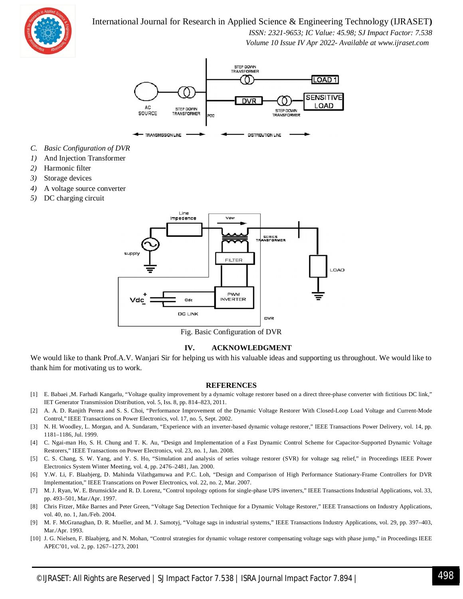#### International Journal for Research in Applied Science & Engineering Technology (IJRASET**)**



*2)* Harmonic filter *3)* Storage devices

*5)* DC charging circuit

 *ISSN: 2321-9653; IC Value: 45.98; SJ Impact Factor: 7.538 Volume 10 Issue IV Apr 2022- Available at www.ijraset.com*



Fig. Basic Configuration of DVR

#### **IV. ACKNOWLEDGMENT**

We would like to thank Prof.A.V. Wanjari Sir for helping us with his valuable ideas and supporting us throughout. We would like to thank him for motivating us to work.

#### **REFERENCES**

- [1] E. Babaei ,M. Farhadi Kangarlu, "Voltage quality improvement by a dynamic voltage restorer based on a direct three-phase converter with fictitious DC link," IET Generator Transmission Distribution, vol. 5, Iss. 8, pp. 814–823, 2011.
- [2] A. A. D. Ranjith Perera and S. S. Choi, "Performance Improvement of the Dynamic Voltage Restorer With Closed-Loop Load Voltage and Current-Mode Control," IEEE Transactions on Power Electronics, vol. 17, no. 5, Sept. 2002.
- [3] N. H. Woodley, L. Morgan, and A. Sundaram, "Experience with an inverter-based dynamic voltage restorer," IEEE Transactions Power Delivery, vol. 14, pp. 1181–1186, Jul. 1999.
- [4] C. Ngai-man Ho, S. H. Chung and T. K. Au, "Design and Implementation of a Fast Dynamic Control Scheme for Capacitor-Supported Dynamic Voltage Restorers," IEEE Transactions on Power Electronics, vol. 23, no. 1, Jan. 2008.
- [5] C. S. Chang, S. W. Yang, and Y. S. Ho, "Simulation and analysis of series voltage restorer (SVR) for voltage sag relief," in Proceedings IEEE Power Electronics System Winter Meeting, vol. 4, pp. 2476–2481, Jan. 2000.
- [6] Y.W. Li, F. Blaabjerg, D. Mahinda Vilathgamuwa and P.C. Loh, "Design and Comparison of High Performance Stationary-Frame Controllers for DVR Implementation," IEEE Transcations on Power Electronics, vol. 22, no. 2, Mar. 2007.
- [7] M. J. Ryan, W. E. Brumsickle and R. D. Lorenz, "Control topology options for single-phase UPS inverters," IEEE Transactions Industrial Applications, vol. 33, pp. 493–501, Mar./Apr. 1997.
- [8] Chris Fitzer, Mike Barnes and Peter Green, "Voltage Sag Detection Technique for a Dynamic Voltage Restorer," IEEE Transactions on Industry Applications, vol. 40, no. 1, Jan./Feb. 2004.
- [9] M. F. McGranaghan, D. R. Mueller, and M. J. Samotyj, "Voltage sags in industrial systems," IEEE Transactions Industry Applications, vol. 29, pp. 397–403, Mar./Apr. 1993.
- [10] J. G. Nielsen, F. Blaabjerg, and N. Mohan, "Control strategies for dynamic voltage restorer compensating voltage sags with phase jump," in Proceedings IEEE APEC'01, vol. 2, pp. 1267–1273, 2001